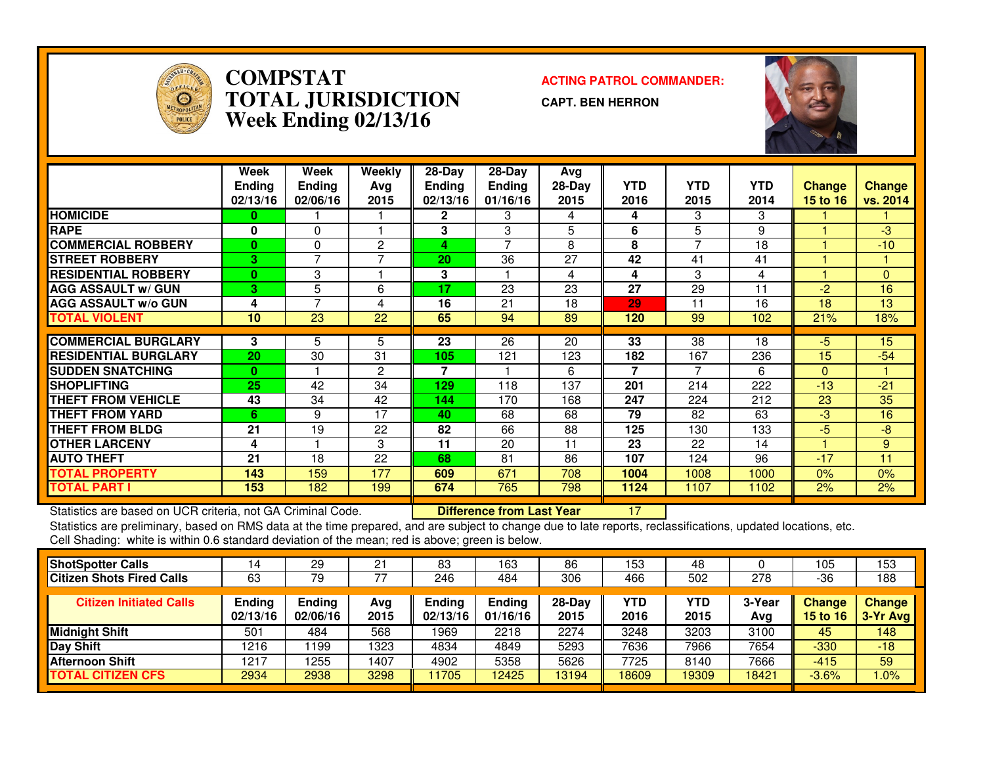

# **COMPSTAT ACTING PATROL COMMANDER: TOTAL JURISDICTIONWeek Ending 02/13/16**

**CAPT. BEN HERRON**



|                             | Week<br><b>Ending</b><br>02/13/16 | Week<br><b>Ending</b><br>02/06/16 | Weekly<br>Ava<br>2015 | $28-Day$<br><b>Ending</b><br>02/13/16 | $28-Day$<br><b>Ending</b><br>01/16/16 | Avg<br>28-Day<br>2015 | <b>YTD</b><br>2016 | <b>YTD</b><br>2015 | <b>YTD</b><br>2014 | <b>Change</b><br>15 to 16 | Change<br>vs. 2014 |
|-----------------------------|-----------------------------------|-----------------------------------|-----------------------|---------------------------------------|---------------------------------------|-----------------------|--------------------|--------------------|--------------------|---------------------------|--------------------|
| <b>HOMICIDE</b>             | 0                                 |                                   |                       | $\mathbf{2}$                          | 3                                     | 4                     | 4                  | 3                  | 3                  |                           |                    |
| <b>RAPE</b>                 | 0                                 | $\Omega$                          |                       | 3                                     | 3                                     | 5                     | 6                  | 5                  | 9                  |                           | -3                 |
| <b>COMMERCIAL ROBBERY</b>   | $\bf{0}$                          | $\Omega$                          | 2                     | 4                                     | $\overline{ }$                        | 8                     | 8                  | 7                  | 18                 |                           | $-10$              |
| <b>STREET ROBBERY</b>       | 3                                 | $\overline{ }$                    |                       | 20                                    | 36                                    | 27                    | 42                 | 41                 | 41                 |                           |                    |
| <b>RESIDENTIAL ROBBERY</b>  | $\mathbf{0}$                      | 3                                 |                       | 3                                     |                                       | 4                     | 4                  | 3                  | 4                  |                           | $\mathbf{0}$       |
| <b>AGG ASSAULT w/ GUN</b>   | 3.                                | 5                                 | 6                     | 17                                    | 23                                    | 23                    | 27                 | 29                 | 11                 | $-2$                      | 16                 |
| <b>AGG ASSAULT w/o GUN</b>  | 4                                 | 7                                 | 4                     | 16                                    | 21                                    | 18                    | 29                 | 11                 | 16                 | 18                        | 13                 |
| <b>TOTAL VIOLENT</b>        | 10                                | 23                                | 22                    | 65                                    | 94                                    | 89                    | 120                | 99                 | 102                | 21%                       | 18%                |
|                             |                                   |                                   |                       |                                       |                                       |                       |                    |                    |                    |                           |                    |
| <b>COMMERCIAL BURGLARY</b>  | 3                                 | 5                                 | 5.                    | 23                                    | 26                                    | 20                    | 33                 | 38                 | 18                 | $-5$                      | 15                 |
| <b>RESIDENTIAL BURGLARY</b> | 20                                | 30                                | 31                    | 105                                   | 121                                   | 123                   | 182                | 167                | 236                | 15                        | $-54$              |
| <b>SUDDEN SNATCHING</b>     | $\bf{0}$                          |                                   | 2                     | 7                                     |                                       | 6                     | $\overline{7}$     | 7                  | 6                  | $\Omega$                  |                    |
| <b>SHOPLIFTING</b>          | 25                                | 42                                | 34                    | 129                                   | 118                                   | 137                   | 201                | 214                | 222                | $-13$                     | $-21$              |
| THEFT FROM VEHICLE          | 43                                | 34                                | 42                    | 144                                   | 170                                   | 168                   | 247                | 224                | 212                | 23                        | 35                 |
| <b>THEFT FROM YARD</b>      | 6                                 | 9                                 | 17                    | 40                                    | 68                                    | 68                    | 79                 | 82                 | 63                 | -3                        | 16                 |
| THEFT FROM BLDG             | 21                                | 19                                | 22                    | 82                                    | 66                                    | 88                    | 125                | 130                | 133                | $-5$                      | -8                 |
| <b>OTHER LARCENY</b>        | 4                                 |                                   | 3                     | 11                                    | 20                                    | 11                    | 23                 | 22                 | 14                 |                           | 9                  |
| <b>AUTO THEFT</b>           | 21                                | 18                                | 22                    | 68                                    | 81                                    | 86                    | 107                | 124                | 96                 | $-17$                     | 11                 |
| <b>TOTAL PROPERTY</b>       | 143                               | 159                               | 177                   | 609                                   | 671                                   | 708                   | 1004               | 1008               | 1000               | 0%                        | 0%                 |
| <b>TOTAL PART I</b>         | 153                               | 182                               | 199                   | 674                                   | 765                                   | 798                   | 1124               | 1107               | 1102               | 2%                        | 2%                 |

Statistics are based on UCR criteria, not GA Criminal Code. **Difference from Last Year 17 19 19 19 19 19 19 19**<br>Statistics are preliminary, based on RMS data at the time prepared, and are subject to change due to late repo Cell Shading: white is within 0.6 standard deviation of the mean; red is above; green is below.

| <b>ShotSpotter Calls</b>         | 14                        | 29                        | 21          | 83                        | 163                       | 86               | 153         | 48                 |               | 105                       | 153                         |
|----------------------------------|---------------------------|---------------------------|-------------|---------------------------|---------------------------|------------------|-------------|--------------------|---------------|---------------------------|-----------------------------|
| <b>Citizen Shots Fired Calls</b> | 63                        | 79                        |             | 246                       | 484                       | 306              | 466         | 502                | 278           | -36                       | 188                         |
| <b>Citizen Initiated Calls</b>   | <b>Ending</b><br>02/13/16 | <b>Ending</b><br>02/06/16 | Ava<br>2015 | <b>Ending</b><br>02/13/16 | <b>Ending</b><br>01/16/16 | $28-Day$<br>2015 | YTD<br>2016 | <b>YTD</b><br>2015 | 3-Year<br>Avg | <b>Change</b><br>15 to 16 | <b>Change</b><br>$3-Yr$ Avg |
| <b>Midnight Shift</b>            | 501                       | 484                       | 568         | 1969                      | 2218                      | 2274             | 3248        | 3203               | 3100          | 45                        | 148                         |
| <b>Day Shift</b>                 | 1216                      | 199                       | 1323        | 4834                      | 4849                      | 5293             | 7636        | 7966               | 7654          | $-330$                    | $-18$                       |
| <b>Afternoon Shift</b>           | 1217                      | 1255                      | 1407        | 4902                      | 5358                      | 5626             | 7725        | 8140               | 7666          | $-415$                    | 59                          |
| <b>TOTAL CITIZEN CFS</b>         | 2934                      | 2938                      | 3298        | 11705                     | 2425                      | 13194            | 18609       | 19309              | 18421         | $-3.6%$                   | $1.0\%$                     |
|                                  |                           |                           |             |                           |                           |                  |             |                    |               |                           |                             |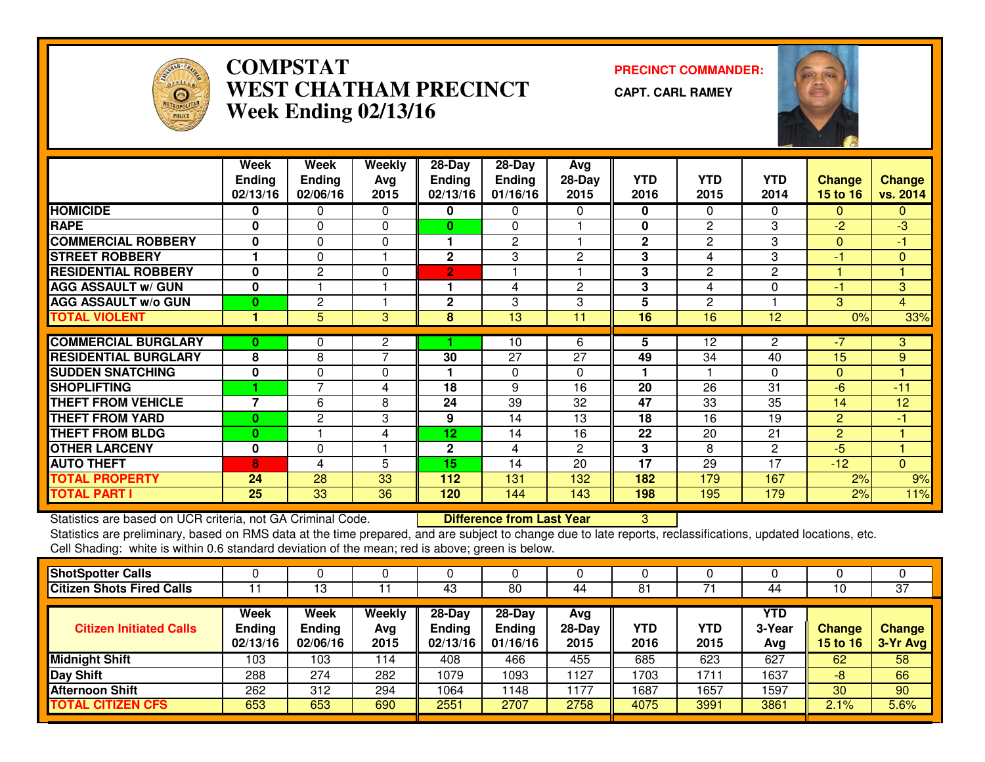

### **COMPSTAT PRECINCT COMMANDER: WEST CHATHAM PRECINCTWeek Ending 02/13/16**

**CAPT. CARL RAMEY**



|                             | Week           | Week            | <b>Weekly</b>  | 28-Day          | $28 - Day$    | Avg            |              |                 |                 |                |                |
|-----------------------------|----------------|-----------------|----------------|-----------------|---------------|----------------|--------------|-----------------|-----------------|----------------|----------------|
|                             | <b>Ending</b>  | Ending          | Avg            | <b>Ending</b>   | <b>Ending</b> | $28-Day$       | <b>YTD</b>   | <b>YTD</b>      | <b>YTD</b>      | <b>Change</b>  | <b>Change</b>  |
|                             | 02/13/16       | 02/06/16        | 2015           | 02/13/16        | 01/16/16      | 2015           | 2016         | 2015            | 2014            | 15 to 16       | vs. 2014       |
| <b>HOMICIDE</b>             | 0              | 0               | $\Omega$       | 0               | 0             | 0              | $\mathbf 0$  | $\Omega$        | $\Omega$        | $\mathbf{0}$   | $\mathbf{0}$   |
| <b>RAPE</b>                 | $\bf{0}$       | 0               | $\Omega$       | 0               | 0             |                | $\mathbf{0}$ | $\mathbf{2}$    | 3               | $-2$           | $-3$           |
| <b>COMMERCIAL ROBBERY</b>   | 0              | 0               | $\Omega$       | 1               | $\mathbf{2}$  |                | $\mathbf{2}$ | $\mathbf{2}$    | 3               | $\Omega$       | -1             |
| <b>STREET ROBBERY</b>       |                | $\Omega$        |                | $\mathbf{2}$    | 3             | 2              | 3            | 4               | 3               | $-1$           | $\mathbf{0}$   |
| <b>RESIDENTIAL ROBBERY</b>  | $\bf{0}$       | $\overline{2}$  | $\Omega$       | $\overline{2}$  | -1            |                | 3            | $\mathbf{2}$    | 2               |                |                |
| <b>AGG ASSAULT w/ GUN</b>   | 0              |                 |                | 1               | 4             | 2              | 3            | 4               | 0               | $-1$           | 3              |
| <b>AGG ASSAULT w/o GUN</b>  | $\bf{0}$       | $\mathbf{2}$    | 1              | $\mathbf{2}$    | 3             | 3              | 5            | $\mathbf{2}$    |                 | 3              | $\overline{4}$ |
| <b>TOTAL VIOLENT</b>        |                | $\overline{5}$  | 3              | 8               | 13            | 11             | 16           | $\overline{16}$ | $\overline{12}$ | 0%             | 33%            |
| <b>COMMERCIAL BURGLARY</b>  | $\bf{0}$       | 0               | 2              |                 | 10            | 6              | 5            | 12              | 2               | $-7$           | 3              |
| <b>RESIDENTIAL BURGLARY</b> | 8              | 8               | $\overline{7}$ | 30              | 27            | 27             | 49           | 34              | 40              | 15             | 9              |
| <b>SUDDEN SNATCHING</b>     | $\mathbf 0$    | $\Omega$        | $\Omega$       | 1               | $\Omega$      | 0              |              |                 | $\Omega$        | $\Omega$       |                |
| <b>SHOPLIFTING</b>          |                | 7               | 4              | 18              | 9             | 16             | 20           | 26              | 31              | $-6$           | $-11$          |
| <b>THEFT FROM VEHICLE</b>   | $\overline{7}$ | 6               | 8              | 24              | 39            | 32             | 47           | 33              | 35              | 14             | 12             |
| <b>THEFT FROM YARD</b>      | $\bf{0}$       | $\mathbf{2}$    | 3              | 9               | 14            | 13             | 18           | 16              | 19              | $\overline{2}$ | -1             |
| <b>THEFT FROM BLDG</b>      | $\bf{0}$       |                 | 4              | 12 <sub>1</sub> | 14            | 16             | 22           | 20              | 21              | $\overline{2}$ |                |
| <b>OTHER LARCENY</b>        | $\mathbf 0$    | 0               |                | $\mathbf{2}$    | 4             | $\overline{2}$ | 3            | 8               | 2               | $-5$           |                |
| <b>AUTO THEFT</b>           | 8              | 4               | 5              | 15              | 14            | 20             | 17           | 29              | 17              | $-12$          | $\overline{0}$ |
| <b>TOTAL PROPERTY</b>       | 24             | $\overline{28}$ | 33             | 112             | 131           | 132            | 182          | 179             | 167             | 2%             | 9%             |
| <b>TOTAL PART I</b>         | 25             | 33              | 36             | 120             | 144           | 143            | 198          | 195             | 179             | 2%             | 11%            |

Statistics are based on UCR criteria, not GA Criminal Code. **Difference from Last Year** 

Statistics are based on UCR criteria, not GA Criminal Code. **Difference from Last Year Schoof Action** Statistics are preliminary, based on RMS data at the time prepared, and are subject to change due to late reports, recla Cell Shading: white is within 0.6 standard deviation of the mean; red is above; green is below.

| <b>ShotSpotter Calls</b>         |                                   |                                   | υ                     |                                         |                                         |                         |             |             |                             | υ                                |                    |
|----------------------------------|-----------------------------------|-----------------------------------|-----------------------|-----------------------------------------|-----------------------------------------|-------------------------|-------------|-------------|-----------------------------|----------------------------------|--------------------|
| <b>Citizen Shots Fired Calls</b> |                                   | 13                                |                       | 43                                      | 80                                      | 44                      | 81          |             | 44                          |                                  | $\overline{37}$    |
| <b>Citizen Initiated Calls</b>   | Week<br><b>Ending</b><br>02/13/16 | Week<br><b>Ending</b><br>02/06/16 | Weekly<br>Avg<br>2015 | $28 - Day$<br><b>Ending</b><br>02/13/16 | $28 - Day$<br><b>Ending</b><br>01/16/16 | Avg<br>$28-Day$<br>2015 | YTD<br>2016 | YTD<br>2015 | <b>YTD</b><br>3-Year<br>Avg | <b>Change</b><br><b>15 to 16</b> | Change<br>3-Yr Avg |
| <b>Midnight Shift</b>            | 103                               | 103                               | 114                   | 408                                     | 466                                     | 455                     | 685         | 623         | 627                         | 62                               | 58                 |
| <b>Day Shift</b>                 | 288                               | 274                               | 282                   | 1079                                    | 1093                                    | 1127                    | 1703        | 1711        | 1637                        | -8                               | 66                 |
| <b>Afternoon Shift</b>           | 262                               | 312                               | 294                   | 1064                                    | 148                                     | 1177                    | 1687        | 1657        | 1597                        | 30                               | 90                 |
| <b>TOTAL CITIZEN CFS</b>         | 653                               | 653                               | 690                   | 2551                                    | 2707                                    | 2758                    | 4075        | 3991        | 3861                        | 2.1%                             | 5.6%               |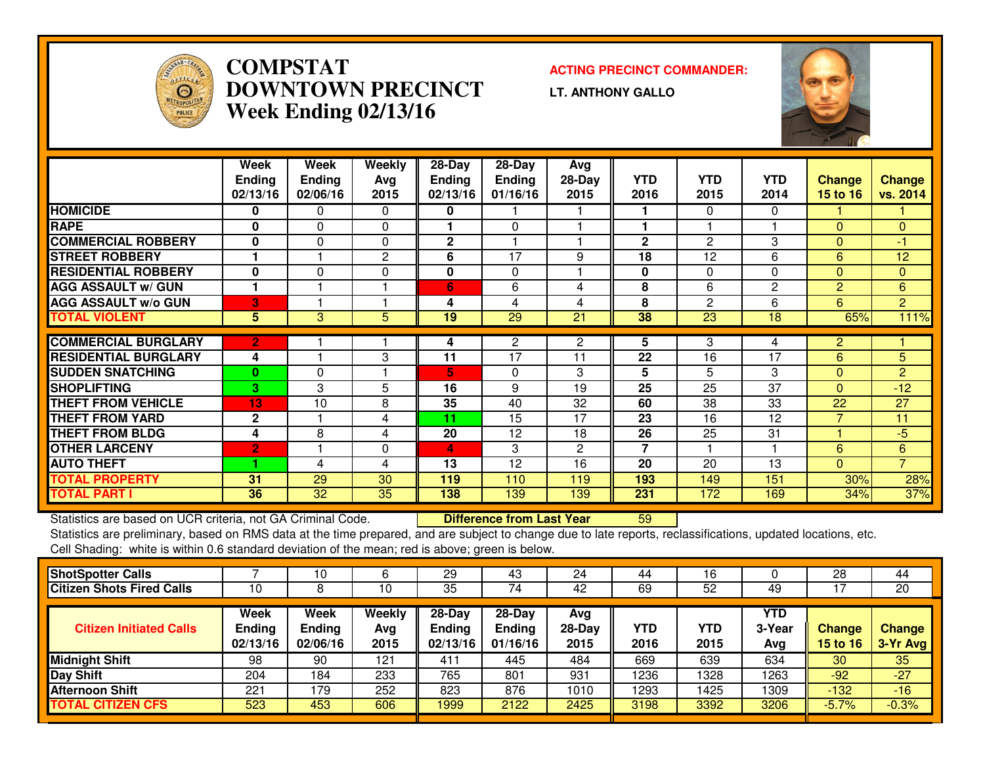

# **COMPSTAT ACTING PRECINCT COMMANDER: DOWNTOWN PRECINCTWeek Ending 02/13/16**

**LT. ANTHONY GALLO**



|                             | Week           | Week          | Weekly       | 28-Day         | $28$ -Day     | Avg          |                |            |                      |                |                |
|-----------------------------|----------------|---------------|--------------|----------------|---------------|--------------|----------------|------------|----------------------|----------------|----------------|
|                             | <b>Ending</b>  | <b>Ending</b> | Avg          | <b>Ending</b>  | <b>Ending</b> | $28-Day$     | <b>YTD</b>     | <b>YTD</b> | <b>YTD</b>           | <b>Change</b>  | <b>Change</b>  |
|                             | 02/13/16       | 02/06/16      | 2015         | 02/13/16       | 01/16/16      | 2015         | 2016           | 2015       | 2014                 | 15 to 16       | vs. 2014       |
| <b>HOMICIDE</b>             | 0              | 0             | $\Omega$     | 0              |               |              |                | $\Omega$   | 0                    |                |                |
| <b>RAPE</b>                 | $\bf{0}$       | 0             | $\Omega$     |                | $\Omega$      |              |                |            |                      | $\Omega$       | 0              |
| <b>COMMERCIAL ROBBERY</b>   | $\bf{0}$       | $\Omega$      | $\Omega$     | $\overline{2}$ |               |              | $\mathbf{2}$   | 2          | 3                    | $\Omega$       | -1             |
| <b>STREET ROBBERY</b>       |                |               | $\mathbf{2}$ | 6              | 17            | 9            | 18             | 12         | 6                    | 6              | 12             |
| <b>RESIDENTIAL ROBBERY</b>  | $\mathbf 0$    | $\Omega$      | $\Omega$     | 0              | $\mathbf{0}$  |              | 0              | $\Omega$   | $\Omega$             | $\Omega$       | $\Omega$       |
| <b>AGG ASSAULT w/ GUN</b>   |                |               |              | 6              | 6             | 4            | 8              | 6          | $\mathbf{2}$         | $\overline{2}$ | 6              |
| <b>AGG ASSAULT w/o GUN</b>  | 3              |               |              | 4              | 4             | 4            | 8              | 2          | 6                    | 6              | $\overline{2}$ |
| <b>TOTAL VIOLENT</b>        | 5              | 3             | 5            | 19             | 29            | 21           | 38             | 23         | 18                   | 65%            | 111%           |
|                             |                |               |              |                |               |              |                |            |                      |                |                |
| <b>COMMERCIAL BURGLARY</b>  | $\overline{2}$ |               |              | 4              | 2             | 2            | 5              | 3          | 4                    | $\overline{2}$ |                |
| <b>RESIDENTIAL BURGLARY</b> | 4              |               | 3            | 11             | 17            | 11           | 22             | 16         | $\overline{17}$      | 6              | 5              |
| <b>SUDDEN SNATCHING</b>     | $\bf{0}$       | $\Omega$      |              | 5              | $\mathbf{0}$  | 3            | 5              | 5          | 3                    | $\Omega$       | $\overline{2}$ |
| <b>SHOPLIFTING</b>          | 3              | 3             | 5            | 16             | 9             | 19           | 25             | 25         | 37                   | $\Omega$       | $-12$          |
| <b>THEFT FROM VEHICLE</b>   | 13             | 10            | 8            | 35             | 40            | 32           | 60             | 38         | 33                   | 22             | 27             |
| <b>THEFT FROM YARD</b>      | $\mathbf{2}$   |               | 4            | 11             | 15            | 17           | 23             | 16         | 12                   |                | 11             |
| <b>THEFT FROM BLDG</b>      | 4              | 8             | 4            | 20             | 12            | 18           | 26             | 25         | 31                   | и              | $-5$           |
| <b>OTHER LARCENY</b>        | $\overline{2}$ |               | 0            | 4              | 3             | $\mathbf{2}$ | $\overline{7}$ |            | $\blacktriangleleft$ | 6              | 6              |
| <b>AUTO THEFT</b>           |                | 4             | 4            | 13             | 12            | 16           | 20             | 20         | 13                   | $\Omega$       | $\overline{7}$ |
| <b>TOTAL PROPERTY</b>       | 31             | 29            | 30           | 119            | 110           | 119          | 193            | 149        | 151                  | 30%            | 28%            |
| <b>TOTAL PART I</b>         | 36             | 32            | 35           | 138            | 139           | 139          | 231            | 172        | 169                  | 34%            | 37%            |

Statistics are based on UCR criteria, not GA Criminal Code. **Difference from Last Year** 

Statistics are based on UCR criteria, not GA Criminal Code. **Difference from Last Year Net Bangel (Exc**ts on Dated locations, etc.<br>Statistics are preliminary, based on RMS data at the time prepared, and are subject to chan Cell Shading: white is within 0.6 standard deviation of the mean; red is above; green is below.

|                                   | 10                                       | 6                     | 29                                      | 43                                      | 24                      | 44          | 16          |                      | 28                               | 44                 |
|-----------------------------------|------------------------------------------|-----------------------|-----------------------------------------|-----------------------------------------|-------------------------|-------------|-------------|----------------------|----------------------------------|--------------------|
| 10                                |                                          | 10                    | 35                                      | 74                                      | 42                      | 69          | 52          | 49                   |                                  | 20                 |
| Week<br><b>Ending</b><br>02/13/16 | <b>Week</b><br><b>Ending</b><br>02/06/16 | Weekly<br>Avg<br>2015 | $28 - Day$<br><b>Ending</b><br>02/13/16 | $28 - Day$<br><b>Endina</b><br>01/16/16 | Avg<br>$28-Day$<br>2015 | YTD<br>2016 | YTD<br>2015 | YTD<br>3-Year<br>Avg | <b>Change</b><br><b>15 to 16</b> | Change<br>3-Yr Avg |
| 98                                | 90                                       | 121                   | 411                                     | 445                                     | 484                     | 669         | 639         | 634                  | 30                               | 35                 |
| 204                               | 184                                      | 233                   | 765                                     | 801                                     | 931                     | 1236        | 1328        | 1263                 | $-92$                            | $-27$              |
| 221                               | 79                                       | 252                   | 823                                     | 876                                     | 1010                    | 1293        | 1425        | 1309                 | -132                             | $-16$              |
| 523                               | 453                                      | 606                   | 1999                                    | 2122                                    | 2425                    | 3198        | 3392        | 3206                 | $-5.7%$                          | $-0.3%$            |
|                                   |                                          |                       |                                         |                                         |                         |             |             |                      |                                  |                    |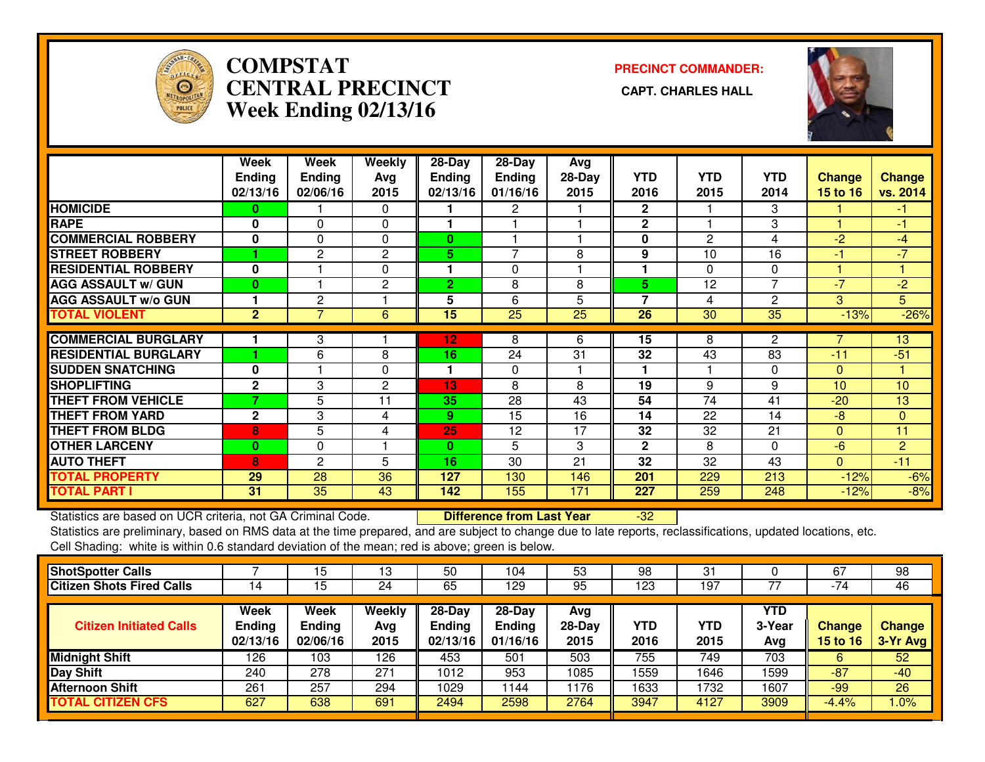

# **COMPSTAT PRECINCT COMMANDER: CENTRAL PRECINCT CAPT. CHARLES HALLWeek Ending 02/13/16**



|                             | Week           | Week           | Weekly         | 28-Day          | 28-Day          | Avg      |                |            |                 |                |               |
|-----------------------------|----------------|----------------|----------------|-----------------|-----------------|----------|----------------|------------|-----------------|----------------|---------------|
|                             | <b>Ending</b>  | <b>Ending</b>  | Avg            | <b>Ending</b>   | <b>Ending</b>   | $28-Day$ | <b>YTD</b>     | <b>YTD</b> | <b>YTD</b>      | <b>Change</b>  | <b>Change</b> |
|                             | 02/13/16       | 02/06/16       | 2015           | 02/13/16        | 01/16/16        | 2015     | 2016           | 2015       | 2014            | 15 to 16       | vs. 2014      |
| <b>HOMICIDE</b>             | 0              |                | $\Omega$       |                 | 2               |          | $\mathbf{2}$   |            | 3               |                | -1            |
| <b>RAPE</b>                 | $\bf{0}$       | $\Omega$       | $\Omega$       |                 |                 |          | $\mathbf 2$    |            | 3               |                | -1            |
| <b>COMMERCIAL ROBBERY</b>   | $\mathbf{0}$   | $\Omega$       | $\Omega$       | $\bf{0}$        |                 |          | 0              | 2          | 4               | $-2$           | $-4$          |
| <b>STREET ROBBERY</b>       |                | $\mathbf{2}$   | 2              | 5.              | 7               | 8        | 9              | 10         | 16              | -1             | $-7$          |
| <b>RESIDENTIAL ROBBERY</b>  | $\mathbf{0}$   |                | $\mathbf 0$    | 1               | $\Omega$        |          | ٠              | 0          | $\Omega$        |                |               |
| <b>AGG ASSAULT w/ GUN</b>   | $\bf{0}$       |                | $\mathbf{2}$   | $\overline{2}$  | 8               | 8        | 5              | 12         | $\overline{7}$  | $-7$           | $-2$          |
| <b>AGG ASSAULT w/o GUN</b>  |                | $\overline{c}$ |                | 5               | 6               | 5        | $\overline{7}$ | 4          | $\mathbf{2}$    | 3              | 5             |
| <b>TOTAL VIOLENT</b>        | $\overline{2}$ | $\overline{7}$ | 6              | $\overline{15}$ | $\overline{25}$ | 25       | 26             | 30         | $\overline{35}$ | $-13%$         | $-26%$        |
| <b>COMMERCIAL BURGLARY</b>  |                |                |                |                 |                 |          |                |            |                 |                |               |
|                             |                | 3              |                | 12              | 8               | 6        | 15             | 8          | 2               |                | 13            |
| <b>RESIDENTIAL BURGLARY</b> |                | 6              | 8              | 16              | 24              | 31       | 32             | 43         | 83              | $-11$          | $-51$         |
| <b>SUDDEN SNATCHING</b>     | $\mathbf 0$    |                | $\Omega$       | 1               | $\mathbf{0}$    |          |                |            | $\Omega$        | $\Omega$       |               |
| <b>SHOPLIFTING</b>          | $\mathbf{2}$   | 3              | $\overline{2}$ | 13              | 8               | 8        | 19             | 9          | 9               | 10             | 10            |
| <b>THEFT FROM VEHICLE</b>   | 7              | 5              | 11             | 35              | 28              | 43       | 54             | 74         | 41              | $-20$          | 13            |
| <b>THEFT FROM YARD</b>      | $\mathbf{2}$   | 3              | 4              | 9               | 15              | 16       | 14             | 22         | 14              | -8             | $\mathbf{0}$  |
| <b>THEFT FROM BLDG</b>      | 8              | 5              | 4              | 25              | 12              | 17       | 32             | 32         | 21              | $\Omega$       | 11            |
| <b>OTHER LARCENY</b>        | $\bf{0}$       | $\Omega$       |                | $\mathbf{0}$    | 5               | 3        | $\mathbf{2}$   | 8          | $\Omega$        | $-6$           | 2             |
| <b>AUTO THEFT</b>           | 8              | 2              | 5              | 16              | 30              | 21       | 32             | 32         | 43              | $\overline{0}$ | $-11$         |
| <b>TOTAL PROPERTY</b>       | 29             | 28             | 36             | 127             | 130             | 146      | 201            | 229        | 213             | $-12%$         | $-6%$         |
| <b>TOTAL PART I</b>         | 31             | 35             | 43             | 142             | 155             | 171      | 227            | 259        | 248             | $-12%$         | $-8%$         |

Statistics are based on UCR criteria, not GA Criminal Code. **Difference from Last Year** 

Statistics are based on UCR criteria, not GA Criminal Code. **Difference from Last Year Film 1968. In 1970**<br>Statistics are preliminary, based on RMS data at the time prepared, and are subject to change due to late reports, Cell Shading: white is within 0.6 standard deviation of the mean; red is above; green is below.

| <b>ShotSpotter Calls</b>         |                                   | 15                         | 13                    | 50                                  | 104                                   | 53                      | 98                 | 31          |                      | 67                        | 98                        |
|----------------------------------|-----------------------------------|----------------------------|-----------------------|-------------------------------------|---------------------------------------|-------------------------|--------------------|-------------|----------------------|---------------------------|---------------------------|
| <b>Citizen Shots Fired Calls</b> | 14                                | 15                         | 24                    | 65                                  | 129                                   | 95                      | 123                | 197         |                      | $-74$                     | 46                        |
| <b>Citizen Initiated Calls</b>   | Week<br><b>Ending</b><br>02/13/16 | Week<br>Ending<br>02/06/16 | Weekly<br>Avg<br>2015 | 28-Day<br><b>Ending</b><br>02/13/16 | $28-Dav$<br><b>Ending</b><br>01/16/16 | Avg<br>$28-Day$<br>2015 | <b>YTD</b><br>2016 | YTD<br>2015 | YTD<br>3-Year<br>Avg | Change<br><b>15 to 16</b> | <b>Change</b><br>3-Yr Avg |
| <b>Midnight Shift</b>            | 126                               | 103                        | 126                   | 453                                 | 501                                   | 503                     | 755                | 749         | 703                  | 6                         | 52                        |
| Day Shift                        | 240                               | 278                        | 271                   | 1012                                | 953                                   | 1085                    | 1559               | 1646        | 1599                 | $-87$                     | $-40$                     |
| <b>Afternoon Shift</b>           | 261                               | 257                        | 294                   | 1029                                | 144                                   | 1176                    | 1633               | 1732        | 1607                 | $-99$                     | 26                        |
| <b>TOTAL CITIZEN CFS</b>         | 627                               | 638                        | 691                   | 2494                                | 2598                                  | 2764                    | 3947               | 4127        | 3909                 | $-4.4%$                   | $1.0\%$                   |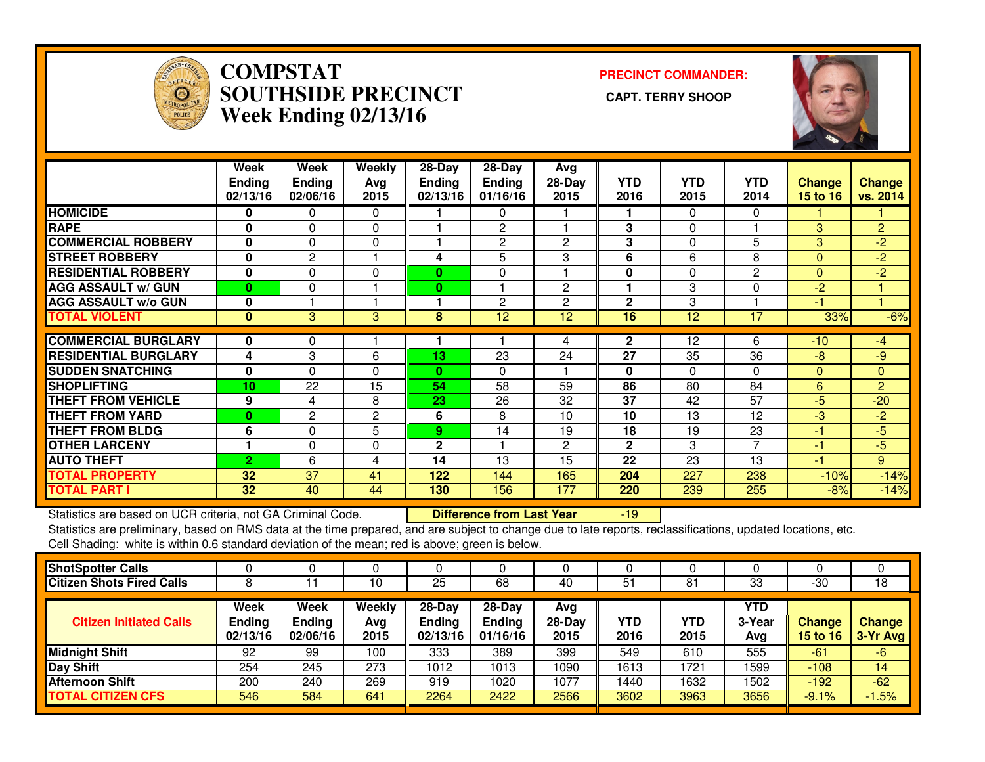

### **COMPSTAT PRECINCT COMMANDER: SOUTHSIDE PRECINCT CAPT. TERRY SHOOPWeek Ending 02/13/16**



|                             | Week<br><b>Ending</b><br>02/13/16 | Week<br><b>Ending</b><br>02/06/16 | Weekly<br>Avg<br>2015 | $28-Day$<br><b>Ending</b><br>02/13/16 | $28-Day$<br>Ending<br>01/16/16 | Avg<br>$28-Day$<br>2015 | <b>YTD</b><br>2016 | <b>YTD</b><br>2015 | <b>YTD</b><br>2014 | <b>Change</b><br><b>15 to 16</b> | Change<br>vs. 2014 |
|-----------------------------|-----------------------------------|-----------------------------------|-----------------------|---------------------------------------|--------------------------------|-------------------------|--------------------|--------------------|--------------------|----------------------------------|--------------------|
| <b>HOMICIDE</b>             | 0                                 | 0                                 | 0                     |                                       | 0                              |                         |                    | $\Omega$           | $\mathbf{0}$       |                                  |                    |
| <b>RAPE</b>                 | 0                                 | 0                                 | 0                     |                                       | $\overline{c}$                 |                         | 3                  | $\Omega$           |                    | 3                                | $\overline{2}$     |
| <b>COMMERCIAL ROBBERY</b>   | 0                                 | $\Omega$                          | 0                     |                                       | $\overline{2}$                 | $\overline{2}$          | 3                  | 0                  | 5                  | 3                                | $-2$               |
| <b>STREET ROBBERY</b>       | $\mathbf 0$                       | $\overline{c}$                    |                       | 4                                     | 5                              | 3                       | 6                  | 6                  | 8                  | $\mathbf{0}$                     | $-2$               |
| <b>RESIDENTIAL ROBBERY</b>  | $\mathbf 0$                       | $\Omega$                          | 0                     | 0                                     | 0                              |                         | $\bf{0}$           | $\Omega$           | 2                  | $\Omega$                         | $\overline{2}$     |
| <b>AGG ASSAULT w/ GUN</b>   | $\bf{0}$                          | $\Omega$                          |                       | 0                                     |                                | $\overline{2}$          |                    | 3                  | $\Omega$           | $-2$                             |                    |
| <b>AGG ASSAULT w/o GUN</b>  | 0                                 |                                   |                       |                                       | $\overline{2}$                 | $\overline{2}$          | $\mathbf{2}$       | 3                  |                    | $-1$                             |                    |
| <b>TOTAL VIOLENT</b>        | $\bf{0}$                          | 3                                 | 3                     | 8                                     | 12                             | 12                      | 16                 | 12                 | 17                 | 33%                              | $-6%$              |
| <b>COMMERCIAL BURGLARY</b>  | 0                                 | 0                                 |                       |                                       |                                | 4                       | $\mathbf{2}$       | 12                 | 6                  | $-10$                            | $-4$               |
| <b>RESIDENTIAL BURGLARY</b> | 4                                 | 3                                 | 6                     | 13                                    | 23                             | 24                      | 27                 | 35                 | 36                 | $-8$                             | $-9$               |
| <b>SUDDEN SNATCHING</b>     | 0                                 | $\Omega$                          | 0                     | $\bf{0}$                              | $\Omega$                       |                         | 0                  | 0                  | $\Omega$           | $\Omega$                         | $\Omega$           |
| <b>SHOPLIFTING</b>          | 10                                | 22                                | 15                    | 54                                    | 58                             | 59                      | 86                 | 80                 | 84                 | 6                                | 2                  |
| <b>THEFT FROM VEHICLE</b>   | 9                                 | 4                                 | 8                     | 23                                    | 26                             | 32                      | 37                 | 42                 | 57                 | $-5$                             | $-20$              |
| <b>THEFT FROM YARD</b>      | 0                                 | $\mathbf{2}$                      | 2                     | 6                                     | 8                              | 10                      | 10                 | 13                 | 12                 | $-3$                             | $-2$               |
| <b>THEFT FROM BLDG</b>      | 6                                 | $\Omega$                          | 5                     | 9.                                    | 14                             | 19                      | 18                 | 19                 | $\overline{23}$    | -1                               | $-5$               |
| <b>OTHER LARCENY</b>        |                                   | $\Omega$                          | 0                     | 2                                     |                                | $\mathbf{2}$            | $\mathbf{2}$       | 3                  | 7                  | $-1$                             | $-5$               |
| <b>AUTO THEFT</b>           | $\overline{2}$                    | 6                                 | 4                     | 14                                    | 13                             | 15                      | 22                 | 23                 | 13                 | -1                               | 9                  |
| <b>TOTAL PROPERTY</b>       | 32                                | 37                                | 41                    | 122                                   | 144                            | 165                     | 204                | 227                | 238                | $-10%$                           | $-14%$             |
| <b>TOTAL PART I</b>         | 32                                | 40                                | 44                    | 130                                   | 156                            | 177                     | 220                | 239                | 255                | $-8%$                            | $-14%$             |

Statistics are based on UCR criteria, not GA Criminal Code. **Difference from Last Year** 

Statistics are based on UCR criteria, not GA Criminal Code. **Difference from Last Year 19 Concept 19 Concept** in<br>Statistics are preliminary, based on RMS data at the time prepared, and are subject to change due to late rep Cell Shading: white is within 0.6 standard deviation of the mean; red is above; green is below.

| <b>ShotSpotter Calls</b>         |                                   |                                   |                       |                                       |                                       |                         |                    |             |                      |                                  |                           |
|----------------------------------|-----------------------------------|-----------------------------------|-----------------------|---------------------------------------|---------------------------------------|-------------------------|--------------------|-------------|----------------------|----------------------------------|---------------------------|
| <b>Citizen Shots Fired Calls</b> |                                   |                                   | 10                    | 25                                    | 68                                    | 40                      | 51                 | 81          | 33                   | $-30$                            | 18                        |
| <b>Citizen Initiated Calls</b>   | Week<br><b>Ending</b><br>02/13/16 | Week<br><b>Ending</b><br>02/06/16 | Weekly<br>Avg<br>2015 | $28-Dav$<br><b>Ending</b><br>02/13/16 | $28-Dav$<br><b>Ending</b><br>01/16/16 | Avg<br>$28-Dav$<br>2015 | <b>YTD</b><br>2016 | YTD<br>2015 | YTD<br>3-Year<br>Avg | <b>Change</b><br><b>15 to 16</b> | <b>Change</b><br>3-Yr Avg |
| <b>Midnight Shift</b>            | 92                                | 99                                | 100                   | 333                                   | 389                                   | 399                     | 549                | 610         | 555                  | $-61$                            | $-6$                      |
| Day Shift                        | 254                               | 245                               | 273                   | 1012                                  | 1013                                  | 1090                    | 1613               | 1721        | 1599                 | $-108$                           | 14                        |
| <b>Afternoon Shift</b>           | 200                               | 240                               | 269                   | 919                                   | 1020                                  | 1077                    | 1440               | 1632        | 1502                 | $-192$                           | $-62$                     |
| <b>TOTAL CITIZEN CFS</b>         | 546                               | 584                               | 641                   | 2264                                  | 2422                                  | 2566                    | 3602               | 3963        | 3656                 | $-9.1%$                          | $-1.5%$                   |